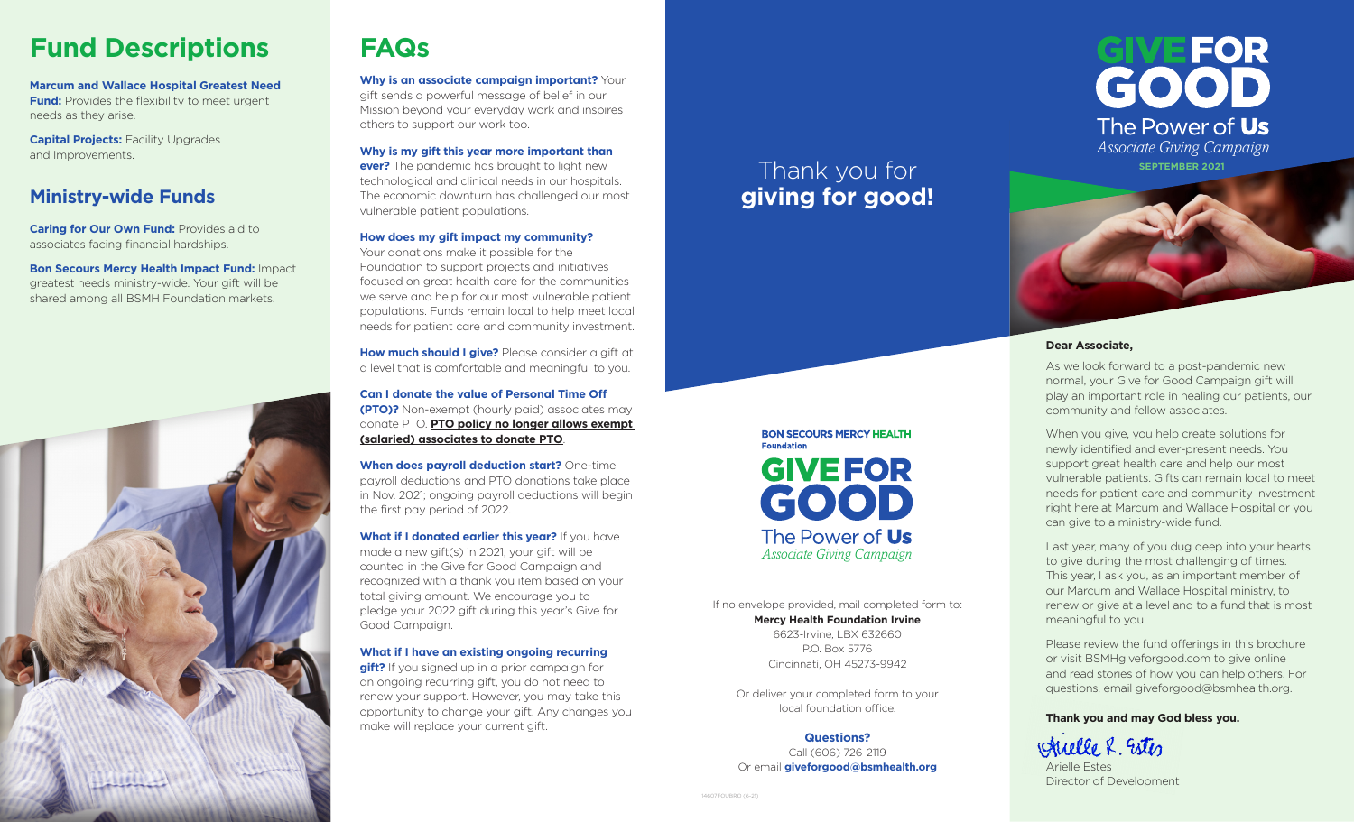## **Fund Descriptions**

**Marcum and Wallace Hospital Greatest Need Fund:** Provides the flexibility to meet urgent needs as they arise.

**Capital Projects: Facility Upgrades** and Improvements.

## **Ministry-wide Funds**

**Caring for Our Own Fund: Provides aid to** associates facing financial hardships.

**Bon Secours Mercy Health Impact Fund:** Impact greatest needs ministry-wide. Your gift will be shared among all BSMH Foundation markets.



## **FAQs**

**Why is an associate campaign important?** Your gift sends a powerful message of belief in our Mission beyond your everyday work and inspires others to support our work too.

**Why is my gift this year more important than ever?** The pandemic has brought to light new technological and clinical needs in our hospitals. The economic downturn has challenged our most vulnerable patient populations.

#### **How does my gift impact my community?**

Your donations make it possible for the Foundation to support projects and initiatives focused on great health care for the communities we serve and help for our most vulnerable patient populations. Funds remain local to help meet local needs for patient care and community investment.

**How much should I give?** Please consider a gift at a level that is comfortable and meaningful to you.

**Can I donate the value of Personal Time Off (PTO)?** Non-exempt (hourly paid) associates may donate PTO. **PTO policy no longer allows exempt (salaried) associates to donate PTO**.

**When does payroll deduction start?** One-time payroll deductions and PTO donations take place in Nov. 2021; ongoing payroll deductions will begin the first pay period of 2022.

**What if I donated earlier this year?** If you have made a new gift(s) in 2021, your gift will be counted in the Give for Good Campaign and recognized with a thank you item based on your total giving amount. We encourage you to pledge your 2022 gift during this year's Give for Good Campaign.

#### **What if I have an existing ongoing recurring**

**gift?** If you signed up in a prior campaign for an ongoing recurring gift, you do not need to renew your support. However, you may take this opportunity to change your gift. Any changes you make will replace your current gift.

## Thank you for **giving for good!**

If no envelope provided, mail completed form to: **Mercy Health Foundation Irvine** 6623-Irvine, LBX 632660 P.O. Box 5776 Cincinnati, OH 45273-9942

*Associate Giving Campaign*

The Power of Us

**BON SECOURS MERCY HEALTH** 

**GIVEFOR** 

GOOD

**Foundation** 

Or deliver your completed form to your local foundation office.

**Questions?** Call (606) 726-2119 Or email **giveforgood@bsmhealth.org**



#### **Dear Associate,**

As we look forward to a post-pandemic new normal, your Give for Good Campaign gift will play an important role in healing our patients, our community and fellow associates.

When you give, you help create solutions for newly identified and ever-present needs. You support great health care and help our most vulnerable patients. Gifts can remain local to meet needs for patient care and community investment right here at Marcum and Wallace Hospital or you can give to a ministry-wide fund.

Last year, many of you dug deep into your hearts to give during the most challenging of times. This year, I ask you, as an important member of our Marcum and Wallace Hospital ministry, to renew or give at a level and to a fund that is most meaningful to you.

Please review the fund offerings in this brochure or visit BSMHgiveforgood.com to give online and read stories of how you can help others. For questions, email giveforgood@bsmhealth.org.

#### **Thank you and may God bless you.**

Auelle R. Estes

Arielle Estes Director of Development

14607FOUBRO (6-21)